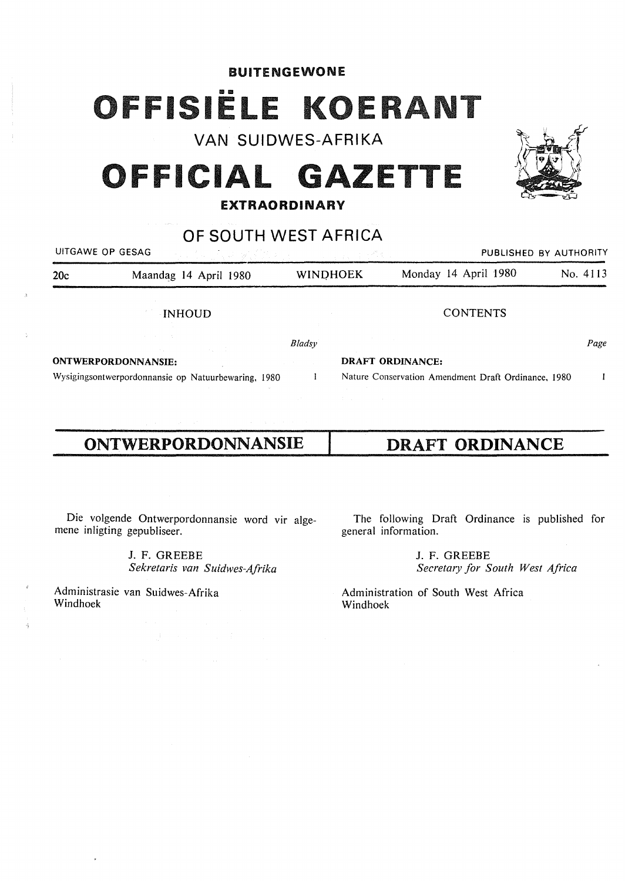### BUITENGEWONE

# 1SIËLE KOEI

VAN SUIDWES-AFRIKA

# **OFFICIAL GAZETTE**

### **EXTRAORDINARY**

# OF SOUTH WEST AFRICA

|                            | UITGAWE OP GESAG<br>아버지는 사람은 없는 사람이야.               | <sub>가지 가</sub> 지 않아서 |                         |                                                     | PUBLISHED BY AUTHORITY |  |
|----------------------------|-----------------------------------------------------|-----------------------|-------------------------|-----------------------------------------------------|------------------------|--|
| 20c                        | Maandag 14 April 1980                               | <b>WINDHOEK</b>       |                         | Monday 14 April 1980                                | No. 4113               |  |
|                            | <b>INHOUD</b>                                       |                       |                         | <b>CONTENTS</b>                                     |                        |  |
|                            |                                                     | <b>Bladsy</b>         |                         |                                                     | Page                   |  |
| <b>ONTWERPORDONNANSIE:</b> |                                                     |                       | <b>DRAFT ORDINANCE:</b> |                                                     |                        |  |
|                            | Wysigingsontwerpordonnansie op Natuurbewaring, 1980 |                       |                         | Nature Conservation Amendment Draft Ordinance, 1980 |                        |  |

# **ONTWERPORDONNANSIE**

**DRAFT ORDINANCE** 

Die volgende Ontwerpordonnansie word vir algemene inligting gepubliseer.

> J. F. GREEBE *Sekretaris van Suidwes-Afrika*

Administrasie van Suidwes-Afrika Windhoek

The following Draft Ordinance is published for general information.

> J. F. GREEBE *Secreta,y for South West Africa*

Administration of South West Africa Windhoek

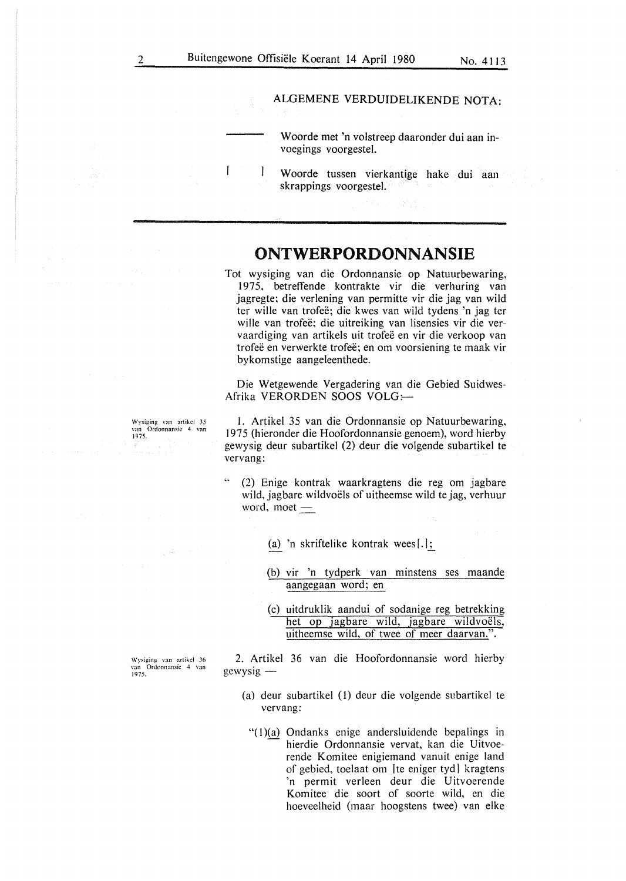$\mathbf{I}$ 

### ALGEMENE VERDUIDELIKENDE NOTA:

Woorde met 'n volstreep daaronder dui aan invoegings voorgestel.

 $\mathbf{I}$ W oorde tussen vierkantige hake dui aan skrappings voorgestel.

## **ONTWERPORDONNANSIE**

Tot wysiging van die Ordonnansie op Natuurbewaring, 1975, betreffende kontrakte vir die verhuring van jagregte; die verlening van permitte vir die jag van wild ter wille van trofee; die kwes van wild tydens 'n jag ter wille van trofeë; die uitreiking van lisensies vir die vervaardiging van artikels uit trofee en vir die verkoop van trofeë en verwerkte trofeë; en om voorsiening te maak vir bykomstige aangeleenthede.

Die Wetgewende Vergadering van die Gebied Suidwes-Afrika VERORDEN SOOS VOLG:

l. Artikel 35 van die Ordonnansie op Natuurbewaring, 1975 (hieronder die Hoofordonnansie genoem), word hierby gewysig deur subartikel (2) deur die volgende subartikel te vervang:

- (2) Enige kontrak waarkragtens die reg om jagbare wild, jagbare wildvoëls of uitheemse wild te jag, verhuur word, moet  $-$ 
	- (a) 'n skriftelike kontrak wees [.];
	- (b) vir 'n tydperk van minstens ses maande aan\_gegaan word; en
	- (c) uitdruklik aandui of sodanige reg betrekking het op jagbare wild, jagbare wildvoëls, uitheemse wild, of twee of meer daarvan.".

\Vysiging van artikcl 36 van Ordonnansie 4 van 1975.

2. Artikel 36 van die Hoofordonnansie word hierby gewysig

- (a) deur subartikel (1) deur die volgende subartikel te vervang:
	- "(1)(a) Ondanks enige andersluidende bepalings in hierdie Ordonnansie vervat, kan die Uitvoerende Komitee enigiemand vanuit enige land of gebied, toelaat om [te eniger tyd] kragtens 'n permit verleen deur die Uitvoerende Komitee die soort of soorte wild, en die hoeveelheid (maar hoogstens twee) van elke

Wysiging van artikcl 35 van Ordonnansic 4 van 1975.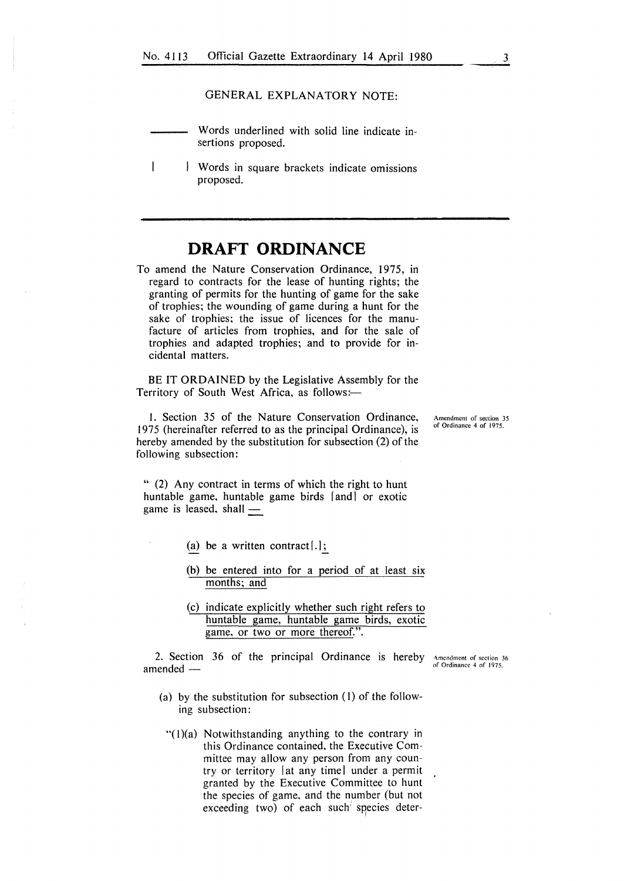### GENERAL EXPLANATORY NOTE:

- Words underlined with solid line indicate insertions proposed.
- $\overline{\phantom{a}}$ Words in square brackets indicate omissions proposed.

## **DRAFT ORDINANCE**

To amend the Nature Conservation Ordinance, 1975, in regard to contracts for the lease of hunting rights; the granting of permits for the hunting of game for the sake of trophies; the wounding of game during a hunt for the sake of trophies; the issue of licences for the manufacture of articles from trophies, and for the sale of trophies and adapted trophies; and to provide for incidental matters.

BE IT **ORDAINED** by the Legislative Assembly for the Territory of South West Africa, as follows:-

!. Section 35 of the Nature Conservation Ordinance, 1975 (hereinafter referred to as the principal Ordinance), is hereby amended by the substitution for subsection (2) of the following subsection:

**Amendment of section 35**  of Ordinance 4 of 1975.

" (2) Any contract in terms of which the right to hunt huntable game, huntable game birds [and] or exotic game is leased, shall  $-$ 

- (a) be a written contract $[.]$ ;
- (b) be entered into for a period of at least six months; and
- (c) indicate explicitly whether such right refers to huntable game, huntable game birds, exotic game, or two or more thereof.".

2. Section 36 of the principal Ordinance is hereby amended -

**•\mcndment of section 36**  of Ordinance 4 of 1975.

- (a) by the substitution for subsection (I) of the following subsection:
	- " $(1)(a)$  Notwithstanding anything to the contrary in this Ordinance contained, the Executive Committee may allow any person from any country or territory [at any time] under a permit granted by the Executive Committee to hunt the species of game. and the number (but not exceeding two) of each such species deter-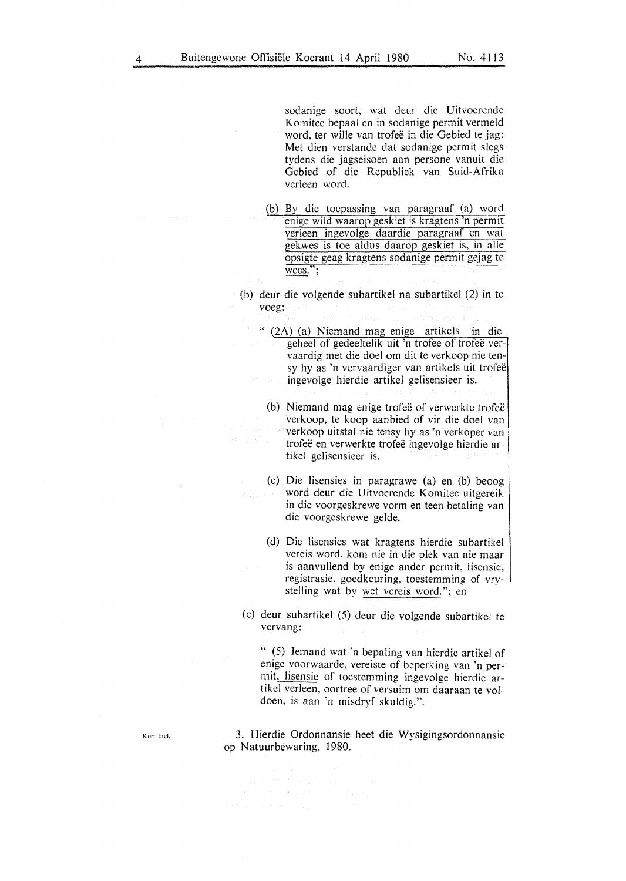sodanige soort, wat deur die Uitvoerende Komitee bepaal en in sodanige permit vermeld word, ter wille van trofeë in die Gebied te jag: Met dien verstande dat sodanige permit slegs tydens die jagseisoen aan persone vanuit die Gebied of die Republiek van Suid-Afrika verleen word.

- (b) By die toepassing van paragraaf (a) word enige wild waarop geskiet is kragtens 'n permit verleen ingevolge daardie paragraaf en wat gekwes is toe aldus daarop geskiet is, in alle opsigte geag kragtens sodanige permit gejag te wees.";
- (b) deur die volgende subartikel na subartikel (2) in te voeg:
	- " (2A) (a) Niemand mag enige artikels in die geheel of gedeeltelik uit 'n trofee of trofee vervaardig met die doe! om dit te verkoop nie tensy hy as 'n vervaardiger van artikels uit trofeë ingevolge hierdie artikel gelisensieer is.
		- (b) Niemand mag enige trofee of verwerkte trofee verkoop, te koop aanbied of vir die doe! van verkoop uitstal nie tensy hy as 'n verkoper van trofeë en verwerkte trofeë ingevolge hierdie artikel gelisensieer is.
		- (c) Die Iisensies in paragrawe (a) en (b) beoog word deur die Uitvoerende Komitee uitgereik in die voorgeskrewe vorm en teen betaling van die voorgeskrewe gelde.
		- (d) Die lisensies wat kragtens hierdie subartikel vereis word, kom nie in die plek van nie maar is aanvullend by enige ander permit, lisensie, registrasie, goedkeuring, toestemming of vrystelling wat by wet vereis word."; en
- (c) deur subartikel (5) deur die volgende subartikel te vervang:

" (5) Iemand wat 'n bepaling van hierdie artikel of enige voorwaarde, vereiste of beperking van 'n permit, lisensie of toestemming ingevolge hierdie artikel verleen, oortree of versuim om daaraan te voldoen, is aan 'n misdryf skuldig.".

3. Hierdie Ordonnansie heet die Wysigingsordonnansie op Natuurbewaring, 1980.

 $\label{eq:1} \mathcal{L}^{\mathcal{L}}(\mathcal{L}^{\mathcal{L}}(\mathcal{L}^{\mathcal{L}}(\mathcal{L}^{\mathcal{L}}(\mathcal{L}^{\mathcal{L}}(\mathcal{L}^{\mathcal{L}}(\mathcal{L}^{\mathcal{L}}(\mathcal{L}^{\mathcal{L}}(\mathcal{L}^{\mathcal{L}}(\mathcal{L}^{\mathcal{L}}(\mathcal{L}^{\mathcal{L}}(\mathcal{L}^{\mathcal{L}}(\mathcal{L}^{\mathcal{L}}(\mathcal{L}^{\mathcal{L}}(\mathcal{L}^{\mathcal{L}}(\mathcal{L}^{\mathcal{L}}(\mathcal{L$ 

**Kort titcl.**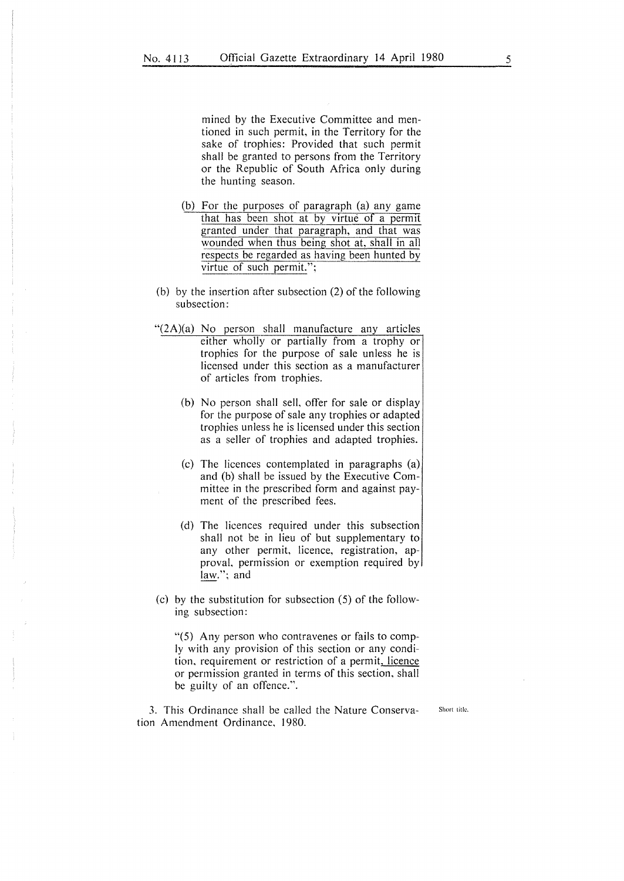mined by the Executive Committee and mentioned in such permit, in the Territory for the sake of trophies: Provided that such permit shall be granted to persons from the Territory or the Republic of South Africa only during the hunting season.

- (b) For the purposes of paragraph (a) any game that has been shot at by virtue of a permit granted under that paragraph, and that was wounded when thus being shot at, shall in all respects be regarded as having been hunted by virtue of such permit.";
- (b) by the insertion after subsection (2) of the following subsection:
- "(2A)(a) No person shall manufacture any articles either wholly or partially from a trophy or trophies for the purpose of sale unless he is licensed under this section as a manufacturer of articles from trophies.
	- (b) No person shall sell, offer for sale or display for the purpose of sale any trophies or adapted trophies unless he is licensed under this section as a seller of trophies and adapted trophies.
	- (c) The licences contemplated in paragraphs (a) and (b) shall be issued by the Executive Committee in the prescribed form and against payment of the prescribed fees.
	- (d) The licences required under this subsection shall not be in lieu of but supplementary to any other permit, licence, registration, approval, permission or exemption required by law."; and
- (c) by the substitution for subsection (5) of the following subsection:

"(5) Any person who contravenes or fails to comply with any provision of this section or any condition. requirement or restriction of a permit, licence or permission granted in terms of this section, shall be guilty of an offence.".

3. This Ordinance shall be called the Nature Conservation Amendment Ordinance, 1980.

**Short title.**